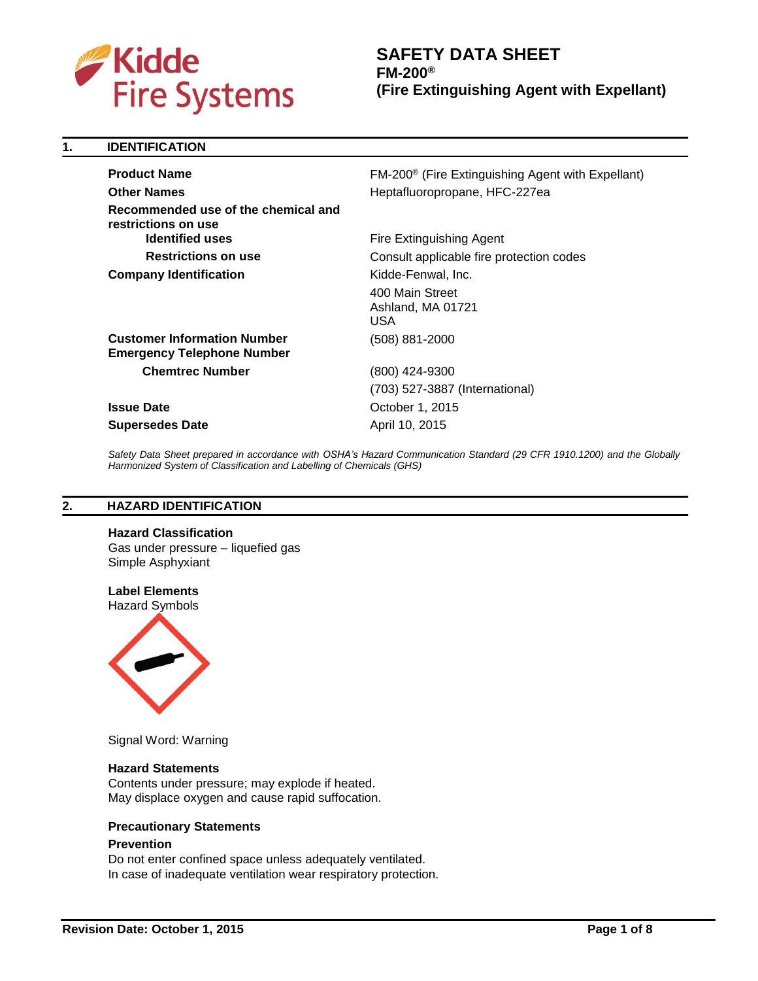

**1. IDENTIFICATION**

# **SAFETY DATA SHEET FM-200® (Fire Extinguishing Agent with Expellant)**

| <b>Product Name</b>                                                     | FM-200 <sup>®</sup> (Fire Extinguishing Agent with Expellant) |
|-------------------------------------------------------------------------|---------------------------------------------------------------|
| <b>Other Names</b>                                                      | Heptafluoropropane, HFC-227ea                                 |
| Recommended use of the chemical and<br>restrictions on use              |                                                               |
| <b>Identified uses</b>                                                  | Fire Extinguishing Agent                                      |
| <b>Restrictions on use</b>                                              | Consult applicable fire protection codes                      |
| <b>Company Identification</b>                                           | Kidde-Fenwal, Inc.                                            |
|                                                                         | 400 Main Street<br>Ashland, MA 01721<br>USA                   |
| <b>Customer Information Number</b><br><b>Emergency Telephone Number</b> | (508) 881-2000                                                |
| <b>Chemtrec Number</b>                                                  | (800) 424-9300                                                |
|                                                                         | (703) 527-3887 (International)                                |
| <b>Issue Date</b>                                                       | October 1, 2015                                               |
| <b>Supersedes Date</b>                                                  | April 10, 2015                                                |
|                                                                         |                                                               |

*Safety Data Sheet prepared in accordance with OSHA's Hazard Communication Standard (29 CFR 1910.1200) and the Globally Harmonized System of Classification and Labelling of Chemicals (GHS)*

## **2. HAZARD IDENTIFICATION**

**Hazard Classification** 

Gas under pressure – liquefied gas Simple Asphyxiant

# **Label Elements**

Hazard Symbols



Signal Word: Warning

#### **Hazard Statements**

Contents under pressure; may explode if heated. May displace oxygen and cause rapid suffocation.

#### **Precautionary Statements**

## **Prevention**

Do not enter confined space unless adequately ventilated. In case of inadequate ventilation wear respiratory protection.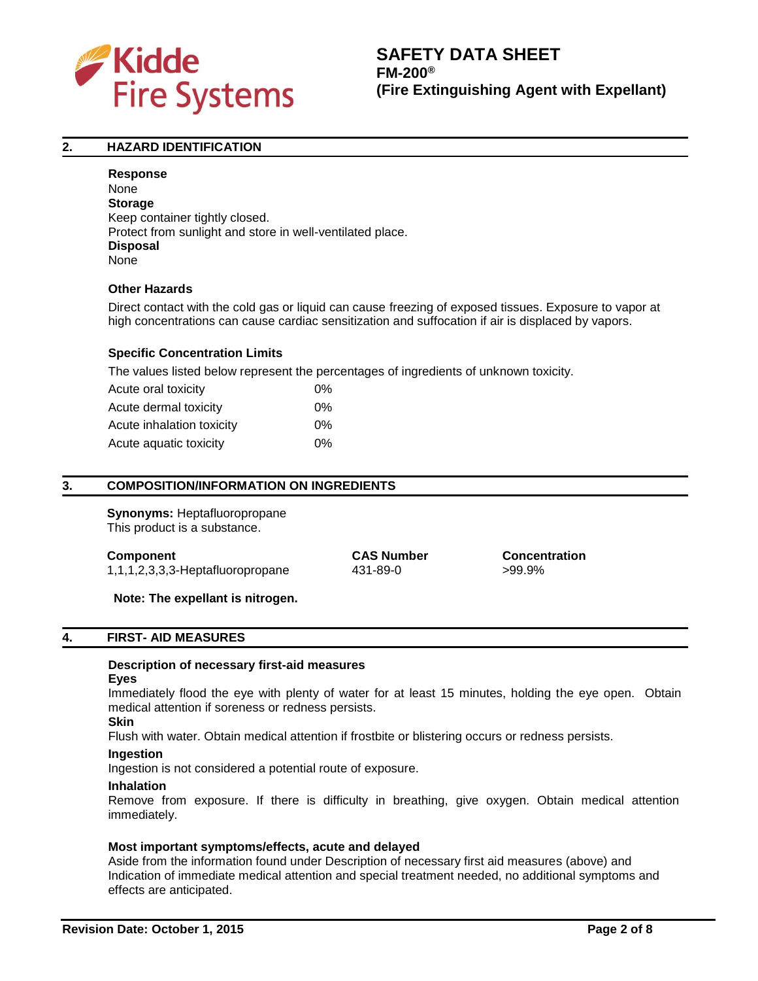

## **2. HAZARD IDENTIFICATION**

**Response** None **Storage** Keep container tightly closed. Protect from sunlight and store in well-ventilated place. **Disposal** None

## **Other Hazards**

Direct contact with the cold gas or liquid can cause freezing of exposed tissues. Exposure to vapor at high concentrations can cause cardiac sensitization and suffocation if air is displaced by vapors.

## **Specific Concentration Limits**

The values listed below represent the percentages of ingredients of unknown toxicity.

| Acute oral toxicity       | 0%    |
|---------------------------|-------|
| Acute dermal toxicity     | 0%    |
| Acute inhalation toxicity | $0\%$ |
| Acute aquatic toxicity    | 0%    |

# **3. COMPOSITION/INFORMATION ON INGREDIENTS**

**Synonyms:** Heptafluoropropane This product is a substance.

1,1,1,2,3,3,3-Heptafluoropropane 431-89-0 >99.9%

**Component CAS Number Concentration**

**Note: The expellant is nitrogen.**

#### **4. FIRST- AID MEASURES**

## **Description of necessary first-aid measures**

#### **Eyes**

Immediately flood the eye with plenty of water for at least 15 minutes, holding the eye open. Obtain medical attention if soreness or redness persists.

## **Skin**

Flush with water. Obtain medical attention if frostbite or blistering occurs or redness persists.

#### **Ingestion**

Ingestion is not considered a potential route of exposure.

#### **Inhalation**

Remove from exposure. If there is difficulty in breathing, give oxygen. Obtain medical attention immediately.

#### **Most important symptoms/effects, acute and delayed**

Aside from the information found under Description of necessary first aid measures (above) and Indication of immediate medical attention and special treatment needed, no additional symptoms and effects are anticipated.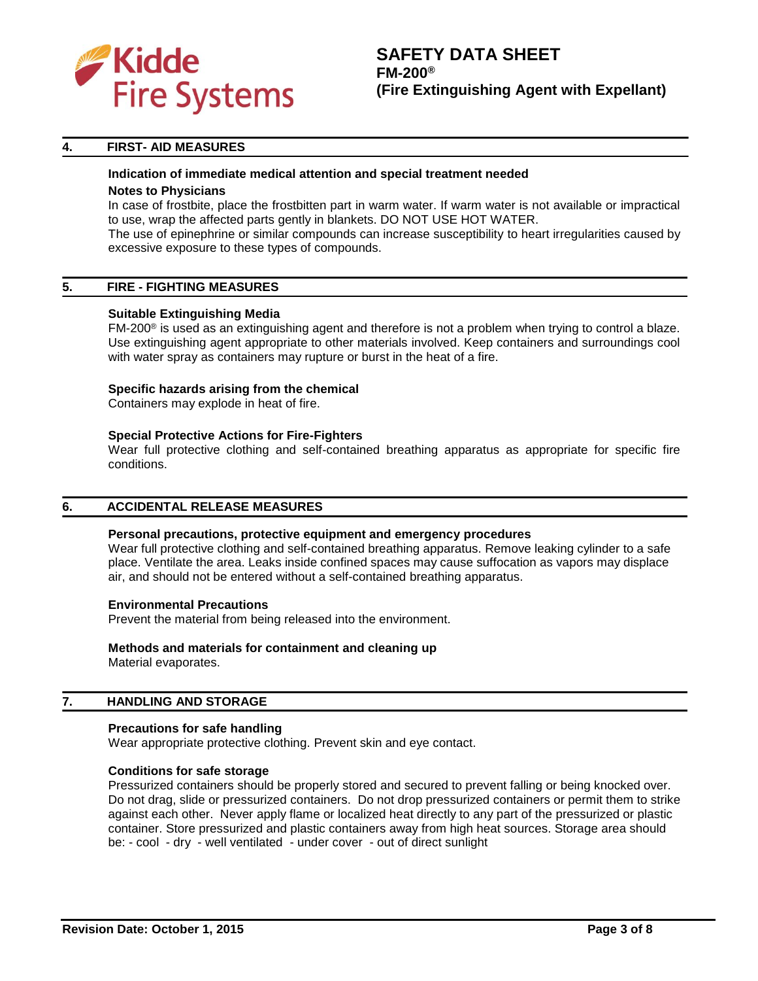

# **SAFETY DATA SHEET FM-200® (Fire Extinguishing Agent with Expellant)**

## **4. FIRST- AID MEASURES**

# **Indication of immediate medical attention and special treatment needed**

## **Notes to Physicians**

In case of frostbite, place the frostbitten part in warm water. If warm water is not available or impractical to use, wrap the affected parts gently in blankets. DO NOT USE HOT WATER.

The use of epinephrine or similar compounds can increase susceptibility to heart irregularities caused by excessive exposure to these types of compounds.

## **5. FIRE - FIGHTING MEASURES**

## **Suitable Extinguishing Media**

FM-200® is used as an extinguishing agent and therefore is not a problem when trying to control a blaze. Use extinguishing agent appropriate to other materials involved. Keep containers and surroundings cool with water spray as containers may rupture or burst in the heat of a fire.

## **Specific hazards arising from the chemical**

Containers may explode in heat of fire.

## **Special Protective Actions for Fire-Fighters**

Wear full protective clothing and self-contained breathing apparatus as appropriate for specific fire conditions.

## **6. ACCIDENTAL RELEASE MEASURES**

#### **Personal precautions, protective equipment and emergency procedures**

Wear full protective clothing and self-contained breathing apparatus. Remove leaking cylinder to a safe place. Ventilate the area. Leaks inside confined spaces may cause suffocation as vapors may displace air, and should not be entered without a self-contained breathing apparatus.

#### **Environmental Precautions**

Prevent the material from being released into the environment.

# **Methods and materials for containment and cleaning up**

Material evaporates.

## **7. HANDLING AND STORAGE**

#### **Precautions for safe handling**

Wear appropriate protective clothing. Prevent skin and eye contact.

#### **Conditions for safe storage**

Pressurized containers should be properly stored and secured to prevent falling or being knocked over. Do not drag, slide or pressurized containers. Do not drop pressurized containers or permit them to strike against each other. Never apply flame or localized heat directly to any part of the pressurized or plastic container. Store pressurized and plastic containers away from high heat sources. Storage area should be: - cool - dry - well ventilated - under cover - out of direct sunlight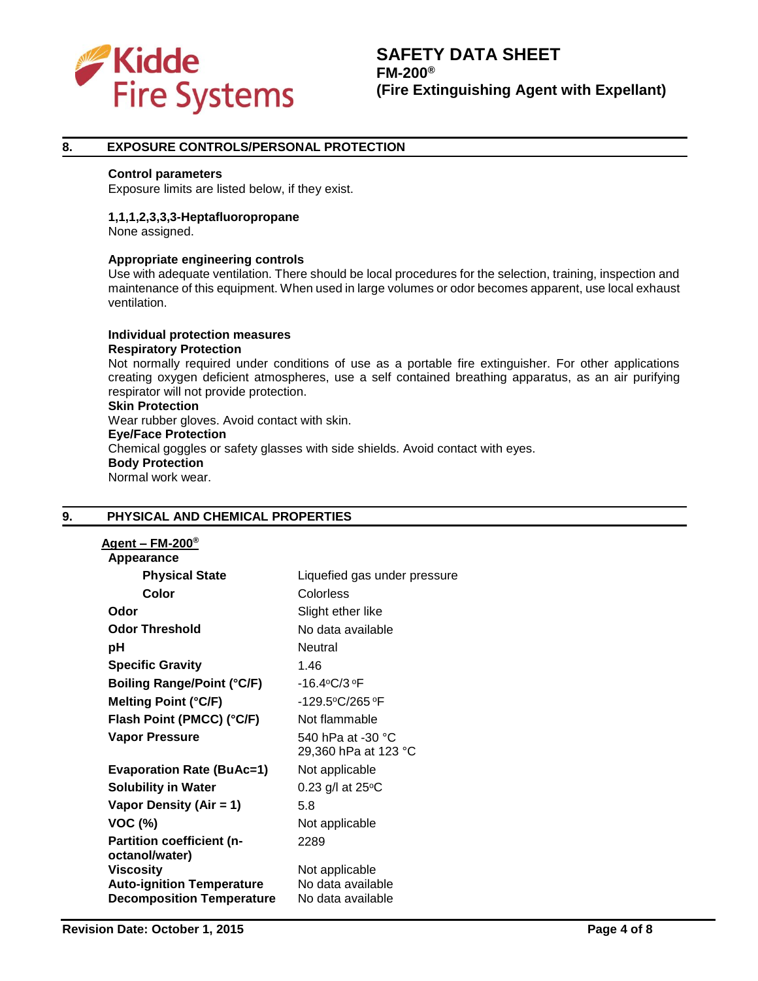

## **8. EXPOSURE CONTROLS/PERSONAL PROTECTION**

#### **Control parameters**

Exposure limits are listed below, if they exist.

## **1,1,1,2,3,3,3-Heptafluoropropane**

None assigned.

## **Appropriate engineering controls**

Use with adequate ventilation. There should be local procedures for the selection, training, inspection and maintenance of this equipment. When used in large volumes or odor becomes apparent, use local exhaust ventilation.

**Individual protection measures Respiratory Protection** Not normally required under conditions of use as a portable fire extinguisher. For other applications creating oxygen deficient atmospheres, use a self contained breathing apparatus, as an air purifying respirator will not provide protection. **Skin Protection** Wear rubber gloves. Avoid contact with skin. **Eye/Face Protection** Chemical goggles or safety glasses with side shields. Avoid contact with eyes.

**Body Protection** Normal work wear.

# **9. PHYSICAL AND CHEMICAL PROPERTIES**

| Agent – FM-200 $^{\circ}$                          |                                           |
|----------------------------------------------------|-------------------------------------------|
| Appearance                                         |                                           |
| <b>Physical State</b>                              | Liquefied gas under pressure              |
| Color                                              | Colorless                                 |
| Odor                                               | Slight ether like                         |
| <b>Odor Threshold</b>                              | No data available                         |
| рH                                                 | <b>Neutral</b>                            |
| <b>Specific Gravity</b>                            | 1.46                                      |
| <b>Boiling Range/Point (°C/F)</b>                  | -16.4°C/3°F                               |
| <b>Melting Point (°C/F)</b>                        | -129.5°C/265°F                            |
| Flash Point (PMCC) (°C/F)                          | Not flammable                             |
| <b>Vapor Pressure</b>                              | 540 hPa at -30 °C<br>29,360 hPa at 123 °C |
| <b>Evaporation Rate (BuAc=1)</b>                   | Not applicable                            |
| <b>Solubility in Water</b>                         | 0.23 g/l at $25^{\circ}$ C                |
| Vapor Density (Air = 1)                            | 5.8                                       |
| <b>VOC (%)</b>                                     | Not applicable                            |
| <b>Partition coefficient (n-</b><br>octanol/water) | 2289                                      |
| <b>Viscosity</b>                                   | Not applicable                            |
| <b>Auto-ignition Temperature</b>                   | No data available                         |
| <b>Decomposition Temperature</b>                   | No data available                         |
|                                                    |                                           |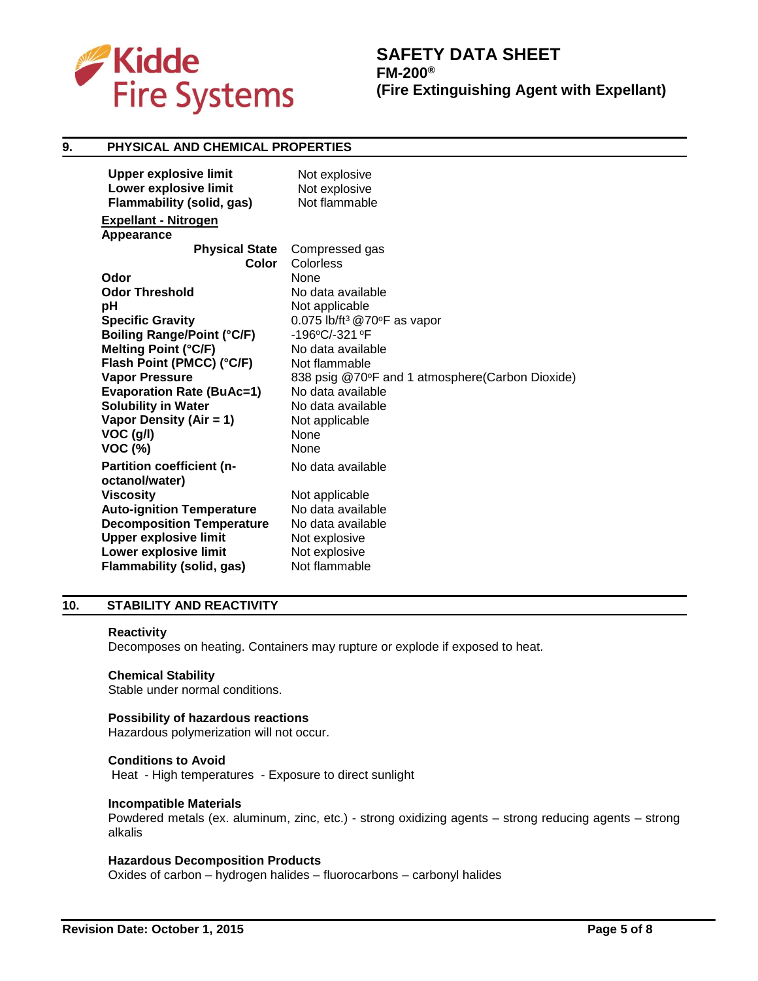

# **SAFETY DATA SHEET FM-200® (Fire Extinguishing Agent with Expellant)**

## **9. PHYSICAL AND CHEMICAL PROPERTIES**

| <b>Upper explosive limit</b>                       | Not explosive                                     |
|----------------------------------------------------|---------------------------------------------------|
| Lower explosive limit                              | Not explosive                                     |
| <b>Flammability (solid, gas)</b>                   | Not flammable                                     |
| <b>Expellant - Nitrogen</b>                        |                                                   |
| Appearance                                         |                                                   |
| <b>Physical State</b>                              | Compressed gas                                    |
| <b>Color</b>                                       | Colorless                                         |
| Odor                                               | <b>None</b>                                       |
| <b>Odor Threshold</b>                              | No data available                                 |
| рH                                                 | Not applicable                                    |
| <b>Specific Gravity</b>                            | 0.075 lb/ft <sup>3</sup> @70 $\degree$ F as vapor |
| <b>Boiling Range/Point (°C/F)</b>                  | -196°C/-321°F                                     |
| <b>Melting Point (°C/F)</b>                        | No data available                                 |
| Flash Point (PMCC) (°C/F)                          | Not flammable                                     |
| <b>Vapor Pressure</b>                              | 838 psig @70°F and 1 atmosphere(Carbon Dioxide)   |
| <b>Evaporation Rate (BuAc=1)</b>                   | No data available                                 |
| <b>Solubility in Water</b>                         | No data available                                 |
| Vapor Density (Air = 1)                            | Not applicable                                    |
| VOC (g/l)                                          | <b>None</b>                                       |
| <b>VOC (%)</b>                                     | <b>None</b>                                       |
| <b>Partition coefficient (n-</b><br>octanol/water) | No data available                                 |
| <b>Viscosity</b>                                   | Not applicable                                    |
| <b>Auto-ignition Temperature</b>                   | No data available                                 |
| <b>Decomposition Temperature</b>                   | No data available                                 |
| <b>Upper explosive limit</b>                       | Not explosive                                     |
| Lower explosive limit                              | Not explosive                                     |
| <b>Flammability (solid, gas)</b>                   | Not flammable                                     |
|                                                    |                                                   |

## **10. STABILITY AND REACTIVITY**

#### **Reactivity**

Decomposes on heating. Containers may rupture or explode if exposed to heat.

#### **Chemical Stability**

Stable under normal conditions.

## **Possibility of hazardous reactions**

Hazardous polymerization will not occur.

## **Conditions to Avoid**

Heat - High temperatures - Exposure to direct sunlight

#### **Incompatible Materials**

Powdered metals (ex. aluminum, zinc, etc.) - strong oxidizing agents – strong reducing agents – strong alkalis

# **Hazardous Decomposition Products**

Oxides of carbon – hydrogen halides – fluorocarbons – carbonyl halides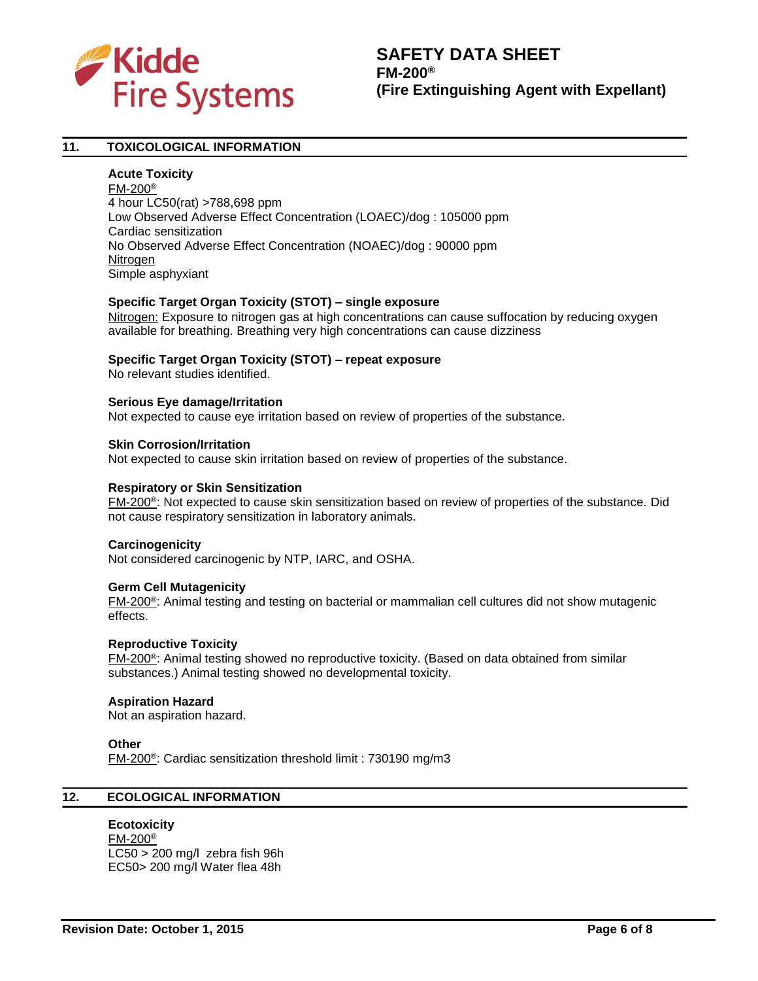

# **11. TOXICOLOGICAL INFORMATION**

## **Acute Toxicity**

FM-200® 4 hour LC50(rat) >788,698 ppm Low Observed Adverse Effect Concentration (LOAEC)/dog : 105000 ppm Cardiac sensitization No Observed Adverse Effect Concentration (NOAEC)/dog : 90000 ppm Nitrogen Simple asphyxiant

## **Specific Target Organ Toxicity (STOT) – single exposure**

Nitrogen: Exposure to nitrogen gas at high concentrations can cause suffocation by reducing oxygen available for breathing. Breathing very high concentrations can cause dizziness

## **Specific Target Organ Toxicity (STOT) – repeat exposure**

No relevant studies identified.

#### **Serious Eye damage/Irritation**

Not expected to cause eye irritation based on review of properties of the substance.

#### **Skin Corrosion/Irritation**

Not expected to cause skin irritation based on review of properties of the substance.

#### **Respiratory or Skin Sensitization**

FM-200®: Not expected to cause skin sensitization based on review of properties of the substance. Did not cause respiratory sensitization in laboratory animals.

#### **Carcinogenicity**

Not considered carcinogenic by NTP, IARC, and OSHA.

#### **Germ Cell Mutagenicity**

FM-200®: Animal testing and testing on bacterial or mammalian cell cultures did not show mutagenic effects.

#### **Reproductive Toxicity**

FM-200®: Animal testing showed no reproductive toxicity. (Based on data obtained from similar substances.) Animal testing showed no developmental toxicity.

#### **Aspiration Hazard**

Not an aspiration hazard.

#### **Other**

FM-200®: Cardiac sensitization threshold limit : 730190 mg/m3

# **12. ECOLOGICAL INFORMATION**

## **Ecotoxicity**

FM-200® LC50 > 200 mg/l zebra fish 96h EC50> 200 mg/l Water flea 48h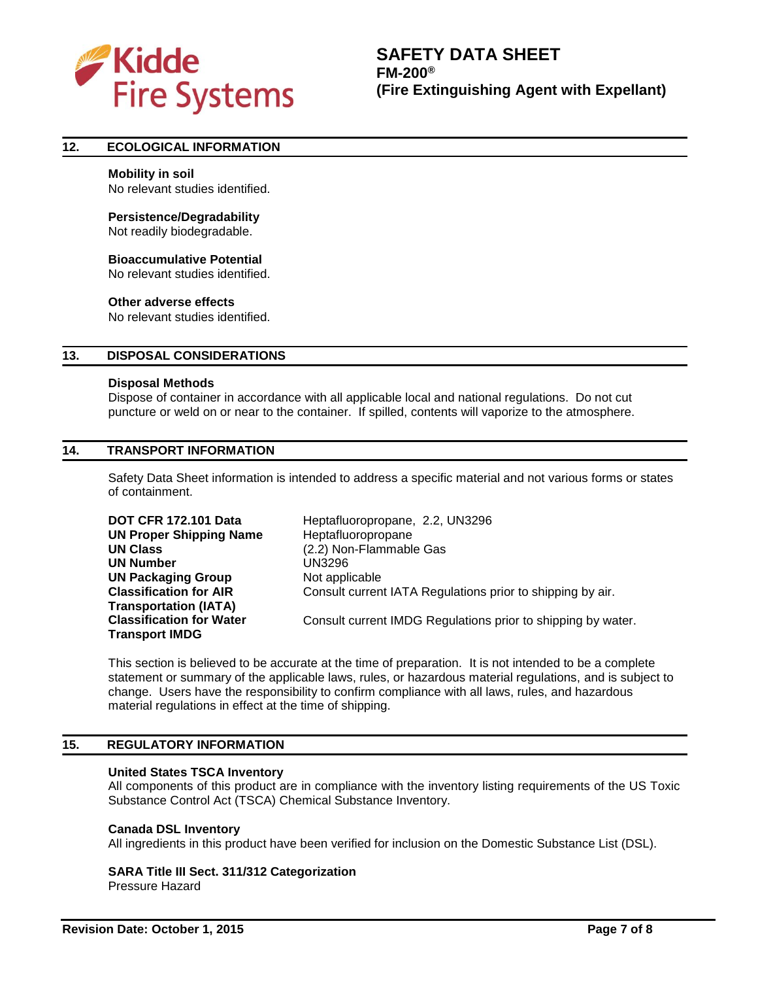

## **12. ECOLOGICAL INFORMATION**

## **Mobility in soil**

No relevant studies identified.

#### **Persistence/Degradability**

Not readily biodegradable.

# **Bioaccumulative Potential**

No relevant studies identified.

#### **Other adverse effects**

No relevant studies identified.

## **13. DISPOSAL CONSIDERATIONS**

#### **Disposal Methods**

Dispose of container in accordance with all applicable local and national regulations. Do not cut puncture or weld on or near to the container. If spilled, contents will vaporize to the atmosphere.

## **14. TRANSPORT INFORMATION**

Safety Data Sheet information is intended to address a specific material and not various forms or states of containment.

| <b>DOT CFR 172.101 Data</b>     | Heptafluoropropane, 2.2, UN3296                              |
|---------------------------------|--------------------------------------------------------------|
| <b>UN Proper Shipping Name</b>  | Heptafluoropropane                                           |
| <b>UN Class</b>                 | (2.2) Non-Flammable Gas                                      |
| <b>UN Number</b>                | UN3296                                                       |
| <b>UN Packaging Group</b>       | Not applicable                                               |
| <b>Classification for AIR</b>   | Consult current IATA Regulations prior to shipping by air.   |
| <b>Transportation (IATA)</b>    |                                                              |
| <b>Classification for Water</b> | Consult current IMDG Regulations prior to shipping by water. |
| <b>Transport IMDG</b>           |                                                              |

This section is believed to be accurate at the time of preparation. It is not intended to be a complete statement or summary of the applicable laws, rules, or hazardous material regulations, and is subject to change. Users have the responsibility to confirm compliance with all laws, rules, and hazardous material regulations in effect at the time of shipping.

# **15. REGULATORY INFORMATION**

#### **United States TSCA Inventory**

All components of this product are in compliance with the inventory listing requirements of the US Toxic Substance Control Act (TSCA) Chemical Substance Inventory.

#### **Canada DSL Inventory**

All ingredients in this product have been verified for inclusion on the Domestic Substance List (DSL).

# **SARA Title III Sect. 311/312 Categorization**

Pressure Hazard